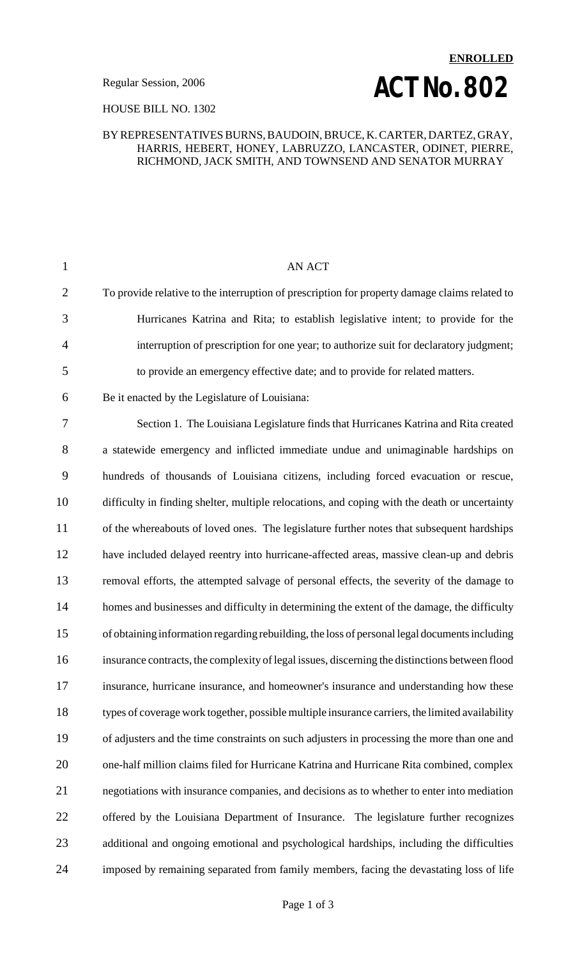### HOUSE BILL NO. 1302

### BY REPRESENTATIVES BURNS, BAUDOIN, BRUCE, K. CARTER, DARTEZ, GRAY, HARRIS, HEBERT, HONEY, LABRUZZO, LANCASTER, ODINET, PIERRE, RICHMOND, JACK SMITH, AND TOWNSEND AND SENATOR MURRAY

| $\mathbf{1}$   | <b>AN ACT</b>                                                                                   |
|----------------|-------------------------------------------------------------------------------------------------|
| $\overline{2}$ | To provide relative to the interruption of prescription for property damage claims related to   |
| 3              | Hurricanes Katrina and Rita; to establish legislative intent; to provide for the                |
| 4              | interruption of prescription for one year; to authorize suit for declaratory judgment;          |
| 5              | to provide an emergency effective date; and to provide for related matters.                     |
| 6              | Be it enacted by the Legislature of Louisiana:                                                  |
| 7              | Section 1. The Louisiana Legislature finds that Hurricanes Katrina and Rita created             |
| 8              | a statewide emergency and inflicted immediate undue and unimaginable hardships on               |
| 9              | hundreds of thousands of Louisiana citizens, including forced evacuation or rescue,             |
| 10             | difficulty in finding shelter, multiple relocations, and coping with the death or uncertainty   |
| 11             | of the whereabouts of loved ones. The legislature further notes that subsequent hardships       |
| 12             | have included delayed reentry into hurricane-affected areas, massive clean-up and debris        |
| 13             | removal efforts, the attempted salvage of personal effects, the severity of the damage to       |
| 14             | homes and businesses and difficulty in determining the extent of the damage, the difficulty     |
| 15             | of obtaining information regarding rebuilding, the loss of personal legal documents including   |
| 16             | insurance contracts, the complexity of legal issues, discerning the distinctions between flood  |
| 17             | insurance, hurricane insurance, and homeowner's insurance and understanding how these           |
| 18             | types of coverage work together, possible multiple insurance carriers, the limited availability |
| 19             | of adjusters and the time constraints on such adjusters in processing the more than one and     |
| 20             | one-half million claims filed for Hurricane Katrina and Hurricane Rita combined, complex        |
| 21             | negotiations with insurance companies, and decisions as to whether to enter into mediation      |
| 22             | offered by the Louisiana Department of Insurance. The legislature further recognizes            |
| 23             | additional and ongoing emotional and psychological hardships, including the difficulties        |
| 24             | imposed by remaining separated from family members, facing the devastating loss of life         |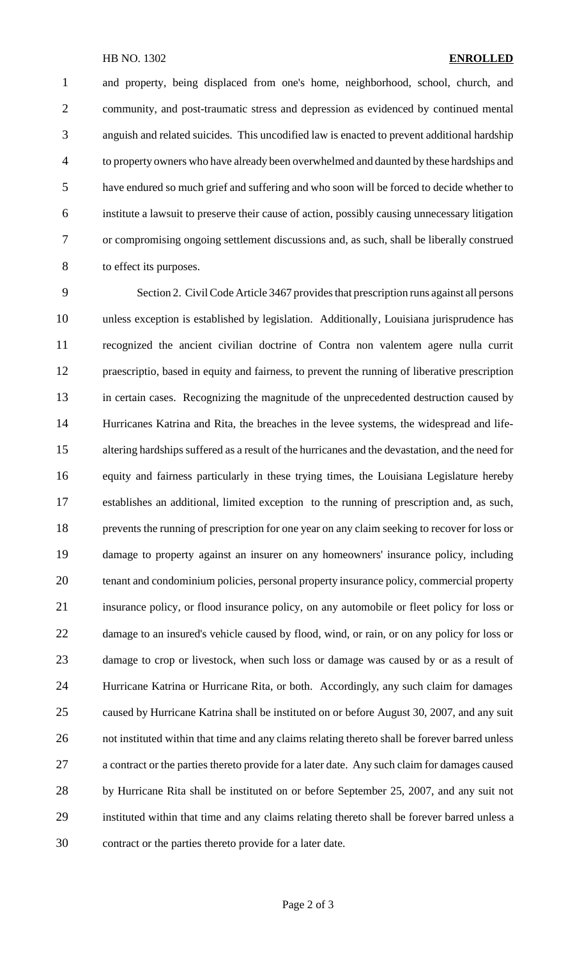#### HB NO. 1302 **ENROLLED**

 and property, being displaced from one's home, neighborhood, school, church, and community, and post-traumatic stress and depression as evidenced by continued mental anguish and related suicides. This uncodified law is enacted to prevent additional hardship to property owners who have already been overwhelmed and daunted by these hardships and have endured so much grief and suffering and who soon will be forced to decide whether to institute a lawsuit to preserve their cause of action, possibly causing unnecessary litigation or compromising ongoing settlement discussions and, as such, shall be liberally construed to effect its purposes.

 Section 2. Civil Code Article 3467 provides that prescription runs against all persons unless exception is established by legislation. Additionally, Louisiana jurisprudence has recognized the ancient civilian doctrine of Contra non valentem agere nulla currit praescriptio, based in equity and fairness, to prevent the running of liberative prescription in certain cases. Recognizing the magnitude of the unprecedented destruction caused by Hurricanes Katrina and Rita, the breaches in the levee systems, the widespread and life- altering hardships suffered as a result of the hurricanes and the devastation, and the need for equity and fairness particularly in these trying times, the Louisiana Legislature hereby establishes an additional, limited exception to the running of prescription and, as such, prevents the running of prescription for one year on any claim seeking to recover for loss or damage to property against an insurer on any homeowners' insurance policy, including tenant and condominium policies, personal property insurance policy, commercial property insurance policy, or flood insurance policy, on any automobile or fleet policy for loss or damage to an insured's vehicle caused by flood, wind, or rain, or on any policy for loss or damage to crop or livestock, when such loss or damage was caused by or as a result of Hurricane Katrina or Hurricane Rita, or both. Accordingly, any such claim for damages caused by Hurricane Katrina shall be instituted on or before August 30, 2007, and any suit not instituted within that time and any claims relating thereto shall be forever barred unless a contract or the parties thereto provide for a later date. Any such claim for damages caused by Hurricane Rita shall be instituted on or before September 25, 2007, and any suit not instituted within that time and any claims relating thereto shall be forever barred unless a contract or the parties thereto provide for a later date.